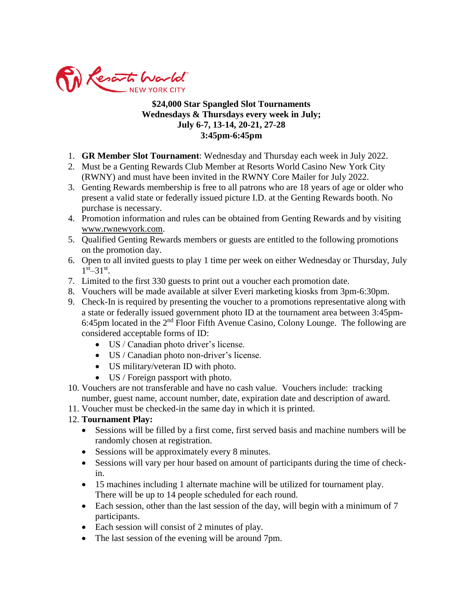

## **\$24,000 Star Spangled Slot Tournaments Wednesdays & Thursdays every week in July; July 6-7, 13-14, 20-21, 27-28 3:45pm-6:45pm**

- 1. **GR Member Slot Tournament**: Wednesday and Thursday each week in July 2022.
- 2. Must be a Genting Rewards Club Member at Resorts World Casino New York City (RWNY) and must have been invited in the RWNY Core Mailer for July 2022.
- 3. Genting Rewards membership is free to all patrons who are 18 years of age or older who present a valid state or federally issued picture I.D. at the Genting Rewards booth. No purchase is necessary.
- 4. Promotion information and rules can be obtained from Genting Rewards and by visiting [www.rwnewyork.com.](http://www.rwnewyork.com/)
- 5. Qualified Genting Rewards members or guests are entitled to the following promotions on the promotion day.
- 6. Open to all invited guests to play 1 time per week on either Wednesday or Thursday, July  $1^{\text{st}} - 31^{\text{st}}$ .
- 7. Limited to the first 330 guests to print out a voucher each promotion date.
- 8. Vouchers will be made available at silver Everi marketing kiosks from 3pm-6:30pm.
- 9. Check-In is required by presenting the voucher to a promotions representative along with a state or federally issued government photo ID at the tournament area between 3:45pm-6:45pm located in the  $2<sup>nd</sup>$  Floor Fifth Avenue Casino, Colony Lounge. The following are considered acceptable forms of ID:
	- US / Canadian photo driver's license.
	- US / Canadian photo non-driver's license.
	- US military/veteran ID with photo.
	- US / Foreign passport with photo.
- 10. Vouchers are not transferable and have no cash value. Vouchers include: tracking number, guest name, account number, date, expiration date and description of award.
- 11. Voucher must be checked-in the same day in which it is printed.

## 12. **Tournament Play:**

- Sessions will be filled by a first come, first served basis and machine numbers will be randomly chosen at registration.
- Sessions will be approximately every 8 minutes.
- Sessions will vary per hour based on amount of participants during the time of checkin.
- 15 machines including 1 alternate machine will be utilized for tournament play. There will be up to 14 people scheduled for each round.
- Each session, other than the last session of the day, will begin with a minimum of 7 participants.
- Each session will consist of 2 minutes of play.
- The last session of the evening will be around 7pm.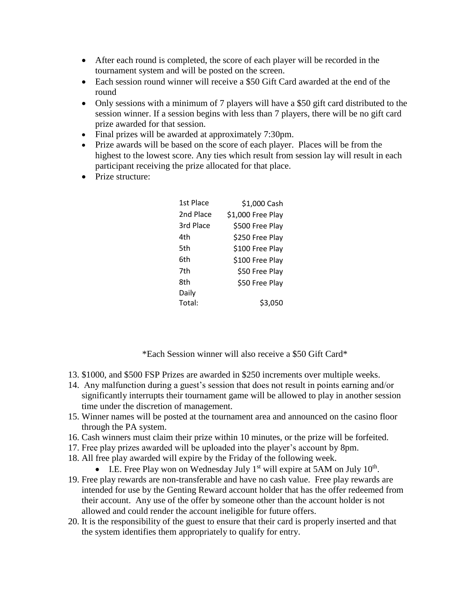- After each round is completed, the score of each player will be recorded in the tournament system and will be posted on the screen.
- Each session round winner will receive a \$50 Gift Card awarded at the end of the round
- Only sessions with a minimum of 7 players will have a \$50 gift card distributed to the session winner. If a session begins with less than 7 players, there will be no gift card prize awarded for that session.
- Final prizes will be awarded at approximately 7:30pm.
- Prize awards will be based on the score of each player. Places will be from the highest to the lowest score. Any ties which result from session lay will result in each participant receiving the prize allocated for that place.
- Prize structure:

| 1st Place | \$1,000 Cash      |
|-----------|-------------------|
| 2nd Place | \$1,000 Free Play |
| 3rd Place | \$500 Free Play   |
| 4th       | \$250 Free Play   |
| 5th       | \$100 Free Play   |
| 6th       | \$100 Free Play   |
| 7th       | \$50 Free Play    |
| 8th       | \$50 Free Play    |
| Daily     |                   |
| Total:    | \$3,050           |

\*Each Session winner will also receive a \$50 Gift Card\*

- 13. \$1000, and \$500 FSP Prizes are awarded in \$250 increments over multiple weeks.
- 14. Any malfunction during a guest's session that does not result in points earning and/or significantly interrupts their tournament game will be allowed to play in another session time under the discretion of management.
- 15. Winner names will be posted at the tournament area and announced on the casino floor through the PA system.
- 16. Cash winners must claim their prize within 10 minutes, or the prize will be forfeited.
- 17. Free play prizes awarded will be uploaded into the player's account by 8pm.
- 18. All free play awarded will expire by the Friday of the following week.
	- I.E. Free Play won on Wednesday July  $1<sup>st</sup>$  will expire at 5AM on July  $10<sup>th</sup>$ .
- 19. Free play rewards are non-transferable and have no cash value. Free play rewards are intended for use by the Genting Reward account holder that has the offer redeemed from their account. Any use of the offer by someone other than the account holder is not allowed and could render the account ineligible for future offers.
- 20. It is the responsibility of the guest to ensure that their card is properly inserted and that the system identifies them appropriately to qualify for entry.